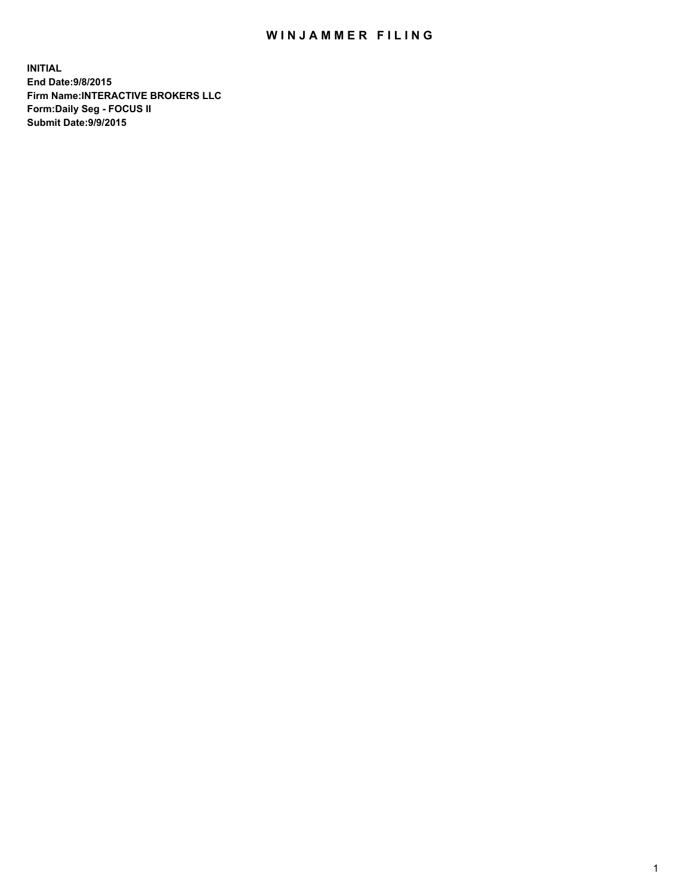## WIN JAMMER FILING

**INITIAL End Date:9/8/2015 Firm Name:INTERACTIVE BROKERS LLC Form:Daily Seg - FOCUS II Submit Date:9/9/2015**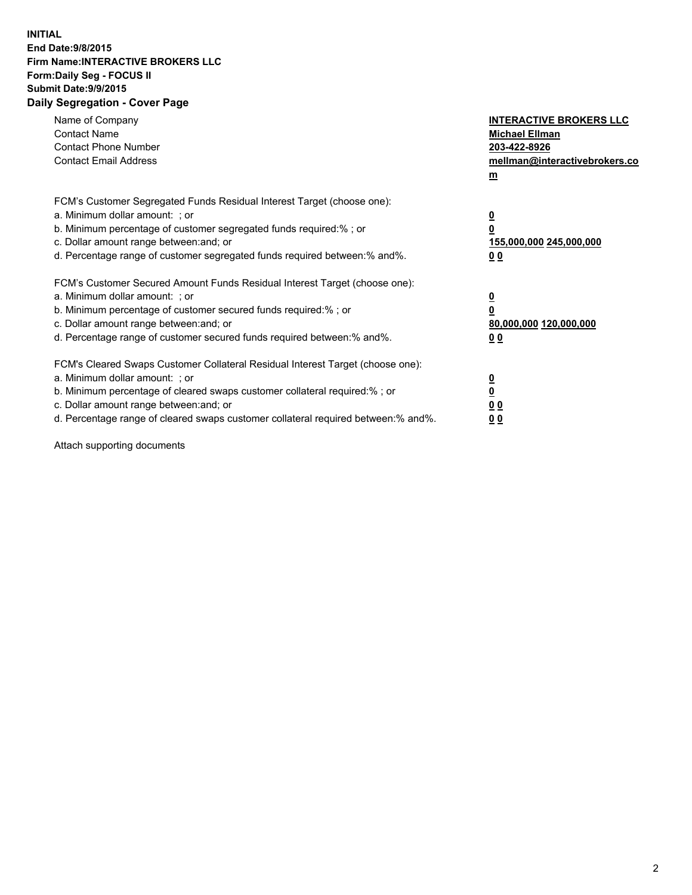## **INITIAL End Date:9/8/2015 Firm Name:INTERACTIVE BROKERS LLC Form:Daily Seg - FOCUS II Submit Date:9/9/2015 Daily Segregation - Cover Page**

| Name of Company<br><b>Contact Name</b><br><b>Contact Phone Number</b><br><b>Contact Email Address</b>                                                                                                                                                                                                                          | <b>INTERACTIVE BROKERS LLC</b><br><b>Michael Ellman</b><br>203-422-8926<br>mellman@interactivebrokers.co<br>$\mathbf{m}$ |
|--------------------------------------------------------------------------------------------------------------------------------------------------------------------------------------------------------------------------------------------------------------------------------------------------------------------------------|--------------------------------------------------------------------------------------------------------------------------|
| FCM's Customer Segregated Funds Residual Interest Target (choose one):<br>a. Minimum dollar amount: ; or<br>b. Minimum percentage of customer segregated funds required:% ; or<br>c. Dollar amount range between: and; or<br>d. Percentage range of customer segregated funds required between:% and%.                         | $\overline{\mathbf{0}}$<br>0<br>155,000,000 245,000,000<br>0 <sub>0</sub>                                                |
| FCM's Customer Secured Amount Funds Residual Interest Target (choose one):<br>a. Minimum dollar amount: ; or<br>b. Minimum percentage of customer secured funds required:%; or<br>c. Dollar amount range between: and; or<br>d. Percentage range of customer secured funds required between: % and %.                          | $\underline{\mathbf{0}}$<br>0<br>80,000,000 120,000,000<br>0 <sub>0</sub>                                                |
| FCM's Cleared Swaps Customer Collateral Residual Interest Target (choose one):<br>a. Minimum dollar amount: ; or<br>b. Minimum percentage of cleared swaps customer collateral required:% ; or<br>c. Dollar amount range between: and; or<br>d. Percentage range of cleared swaps customer collateral required between:% and%. | $\overline{\mathbf{0}}$<br>$\overline{\mathbf{0}}$<br>0 <sub>0</sub><br>0 <sup>0</sup>                                   |

Attach supporting documents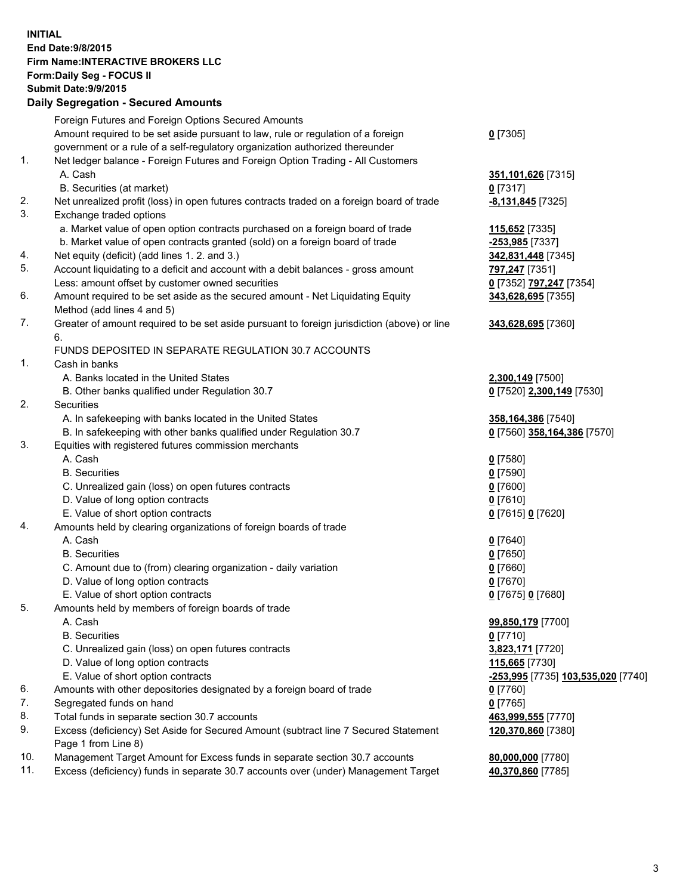## **INITIAL End Date:9/8/2015 Firm Name:INTERACTIVE BROKERS LLC Form:Daily Seg - FOCUS II Submit Date:9/9/2015 Daily Segregation - Secured Amounts**

|     | Foreign Futures and Foreign Options Secured Amounts                                                     |                                    |
|-----|---------------------------------------------------------------------------------------------------------|------------------------------------|
|     | Amount required to be set aside pursuant to law, rule or regulation of a foreign                        | $0$ [7305]                         |
|     | government or a rule of a self-regulatory organization authorized thereunder                            |                                    |
| 1.  | Net ledger balance - Foreign Futures and Foreign Option Trading - All Customers                         |                                    |
|     | A. Cash                                                                                                 | 351,101,626 [7315]                 |
|     | B. Securities (at market)                                                                               | $0$ [7317]                         |
| 2.  | Net unrealized profit (loss) in open futures contracts traded on a foreign board of trade               | -8,131,845 [7325]                  |
| 3.  | Exchange traded options                                                                                 |                                    |
|     | a. Market value of open option contracts purchased on a foreign board of trade                          | 115,652 [7335]                     |
|     | b. Market value of open contracts granted (sold) on a foreign board of trade                            | -253,985 [7337]                    |
| 4.  | Net equity (deficit) (add lines 1.2. and 3.)                                                            | 342,831,448 [7345]                 |
| 5.  | Account liquidating to a deficit and account with a debit balances - gross amount                       | 797,247 [7351]                     |
|     | Less: amount offset by customer owned securities                                                        | 0 [7352] 797,247 [7354]            |
| 6.  | Amount required to be set aside as the secured amount - Net Liquidating Equity                          | 343,628,695 [7355]                 |
|     | Method (add lines 4 and 5)                                                                              |                                    |
| 7.  | Greater of amount required to be set aside pursuant to foreign jurisdiction (above) or line             | 343,628,695 [7360]                 |
|     | 6.                                                                                                      |                                    |
|     | FUNDS DEPOSITED IN SEPARATE REGULATION 30.7 ACCOUNTS                                                    |                                    |
| 1.  | Cash in banks                                                                                           |                                    |
|     | A. Banks located in the United States                                                                   | 2,300,149 [7500]                   |
|     | B. Other banks qualified under Regulation 30.7                                                          | 0 [7520] 2,300,149 [7530]          |
| 2.  | Securities                                                                                              |                                    |
|     | A. In safekeeping with banks located in the United States                                               | 358,164,386 [7540]                 |
|     | B. In safekeeping with other banks qualified under Regulation 30.7                                      | 0 [7560] 358,164,386 [7570]        |
| 3.  | Equities with registered futures commission merchants                                                   |                                    |
|     | A. Cash                                                                                                 | $0$ [7580]                         |
|     | <b>B.</b> Securities                                                                                    | $0$ [7590]                         |
|     | C. Unrealized gain (loss) on open futures contracts                                                     | $0$ [7600]                         |
|     | D. Value of long option contracts                                                                       | $0$ [7610]                         |
| 4.  | E. Value of short option contracts<br>Amounts held by clearing organizations of foreign boards of trade | 0 [7615] 0 [7620]                  |
|     | A. Cash                                                                                                 |                                    |
|     | <b>B.</b> Securities                                                                                    | $0$ [7640]<br>$0$ [7650]           |
|     | C. Amount due to (from) clearing organization - daily variation                                         | $0$ [7660]                         |
|     | D. Value of long option contracts                                                                       | $0$ [7670]                         |
|     | E. Value of short option contracts                                                                      | 0 [7675] 0 [7680]                  |
| 5.  | Amounts held by members of foreign boards of trade                                                      |                                    |
|     | A. Cash                                                                                                 | 99,850,179 [7700]                  |
|     | <b>B.</b> Securities                                                                                    | $0$ [7710]                         |
|     | C. Unrealized gain (loss) on open futures contracts                                                     | 3,823,171 [7720]                   |
|     | D. Value of long option contracts                                                                       | 115,665 [7730]                     |
|     | E. Value of short option contracts                                                                      | -253,995 [7735] 103,535,020 [7740] |
| 6.  | Amounts with other depositories designated by a foreign board of trade                                  | $0$ [7760]                         |
| 7.  | Segregated funds on hand                                                                                | $0$ [7765]                         |
| 8.  | Total funds in separate section 30.7 accounts                                                           | 463,999,555 [7770]                 |
| 9.  | Excess (deficiency) Set Aside for Secured Amount (subtract line 7 Secured Statement                     | 120,370,860 [7380]                 |
|     | Page 1 from Line 8)                                                                                     |                                    |
| 10. | Management Target Amount for Excess funds in separate section 30.7 accounts                             | 80,000,000 [7780]                  |
| 11. | Excess (deficiency) funds in separate 30.7 accounts over (under) Management Target                      | 40,370,860 [7785]                  |
|     |                                                                                                         |                                    |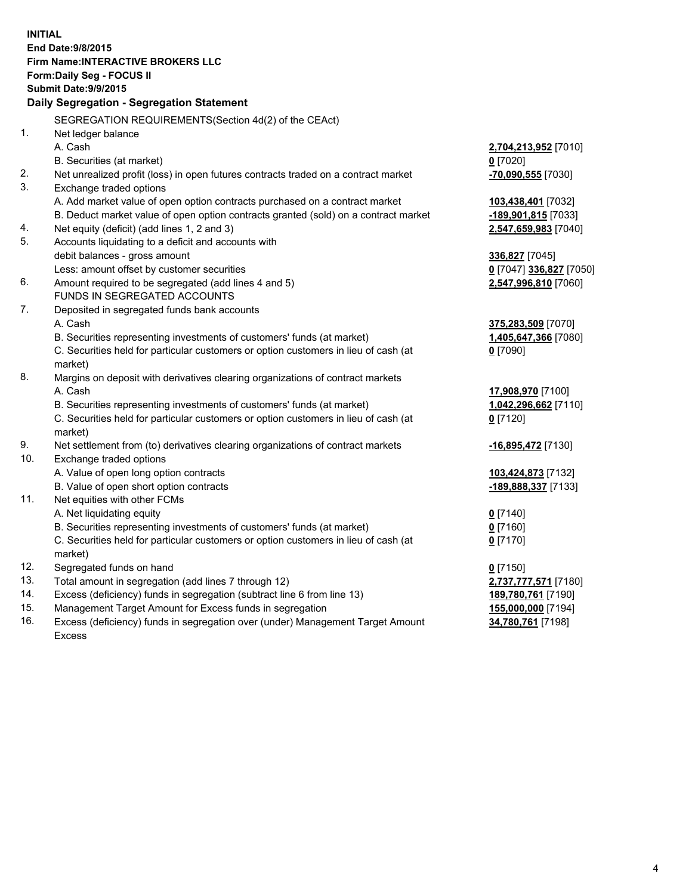**INITIAL End Date:9/8/2015 Firm Name:INTERACTIVE BROKERS LLC Form:Daily Seg - FOCUS II Submit Date:9/9/2015 Daily Segregation - Segregation Statement** SEGREGATION REQUIREMENTS(Section 4d(2) of the CEAct) 1. Net ledger balance A. Cash **2,704,213,952** [7010] B. Securities (at market) **0** [7020] 2. Net unrealized profit (loss) in open futures contracts traded on a contract market **-70,090,555** [7030] 3. Exchange traded options A. Add market value of open option contracts purchased on a contract market **103,438,401** [7032] B. Deduct market value of open option contracts granted (sold) on a contract market **-189,901,815** [7033] 4. Net equity (deficit) (add lines 1, 2 and 3) **2,547,659,983** [7040] 5. Accounts liquidating to a deficit and accounts with debit balances - gross amount **336,827** [7045] Less: amount offset by customer securities **0** [7047] **336,827** [7050] 6. Amount required to be segregated (add lines 4 and 5) **2,547,996,810** [7060] FUNDS IN SEGREGATED ACCOUNTS 7. Deposited in segregated funds bank accounts A. Cash **375,283,509** [7070] B. Securities representing investments of customers' funds (at market) **1,405,647,366** [7080] C. Securities held for particular customers or option customers in lieu of cash (at market) **0** [7090] 8. Margins on deposit with derivatives clearing organizations of contract markets A. Cash **17,908,970** [7100] B. Securities representing investments of customers' funds (at market) **1,042,296,662** [7110] C. Securities held for particular customers or option customers in lieu of cash (at market) **0** [7120] 9. Net settlement from (to) derivatives clearing organizations of contract markets **-16,895,472** [7130] 10. Exchange traded options A. Value of open long option contracts **103,424,873** [7132] B. Value of open short option contracts **-189,888,337** [7133] 11. Net equities with other FCMs A. Net liquidating equity **0** [7140] B. Securities representing investments of customers' funds (at market) **0** [7160] C. Securities held for particular customers or option customers in lieu of cash (at market) **0** [7170] 12. Segregated funds on hand **0** [7150] 13. Total amount in segregation (add lines 7 through 12) **2,737,777,571** [7180] 14. Excess (deficiency) funds in segregation (subtract line 6 from line 13) **189,780,761** [7190] 15. Management Target Amount for Excess funds in segregation **155,000,000** [7194] 16. Excess (deficiency) funds in segregation over (under) Management Target Amount **34,780,761** [7198]

Excess